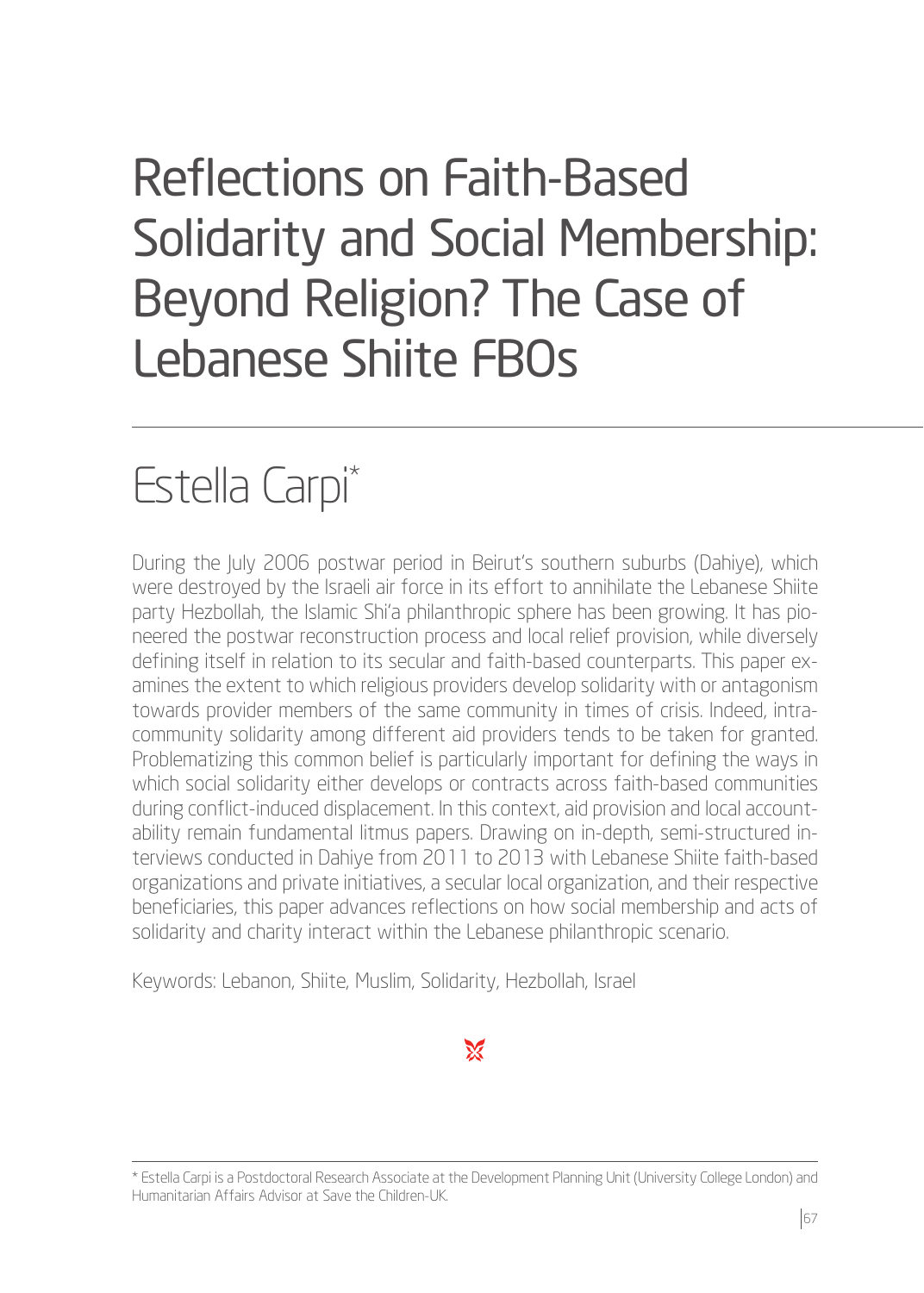# Reflections on Faith-Based Solidarity and Social Membership: Beyond Religion? The Case of Lebanese Shiite FBOs

## Estella Carpi\*

During the July 2006 postwar period in Beirut's southern suburbs (Dahiye), which were destroyed by the Israeli air force in its effort to annihilate the Lebanese Shiite party Hezbollah, the Islamic Shi'a philanthropic sphere has been growing. It has pioneered the postwar reconstruction process and local relief provision, while diversely defining itself in relation to its secular and faith-based counterparts. This paper examines the extent to which religious providers develop solidarity with or antagonism towards provider members of the same community in times of crisis. Indeed, intracommunity solidarity among different aid providers tends to be taken for granted. Problematizing this common belief is particularly important for defining the ways in which social solidarity either develops or contracts across faith-based communities during conflict-induced displacement. In this context, aid provision and local accountability remain fundamental litmus papers. Drawing on in-depth, semi-structured interviews conducted in Dahiye from 2011 to 2013 with Lebanese Shiite faith-based organizations and private initiatives, a secular local organization, and their respective beneficiaries, this paper advances reflections on how social membership and acts of solidarity and charity interact within the Lebanese philanthropic scenario.

Keywords: Lebanon, Shiite, Muslim, Solidarity, Hezbollah, Israel

<sup>\*</sup> Estella Carpi is a Postdoctoral Research Associate at the Development Planning Unit (University College London) and Humanitarian Affairs Advisor at Save the Children-UK.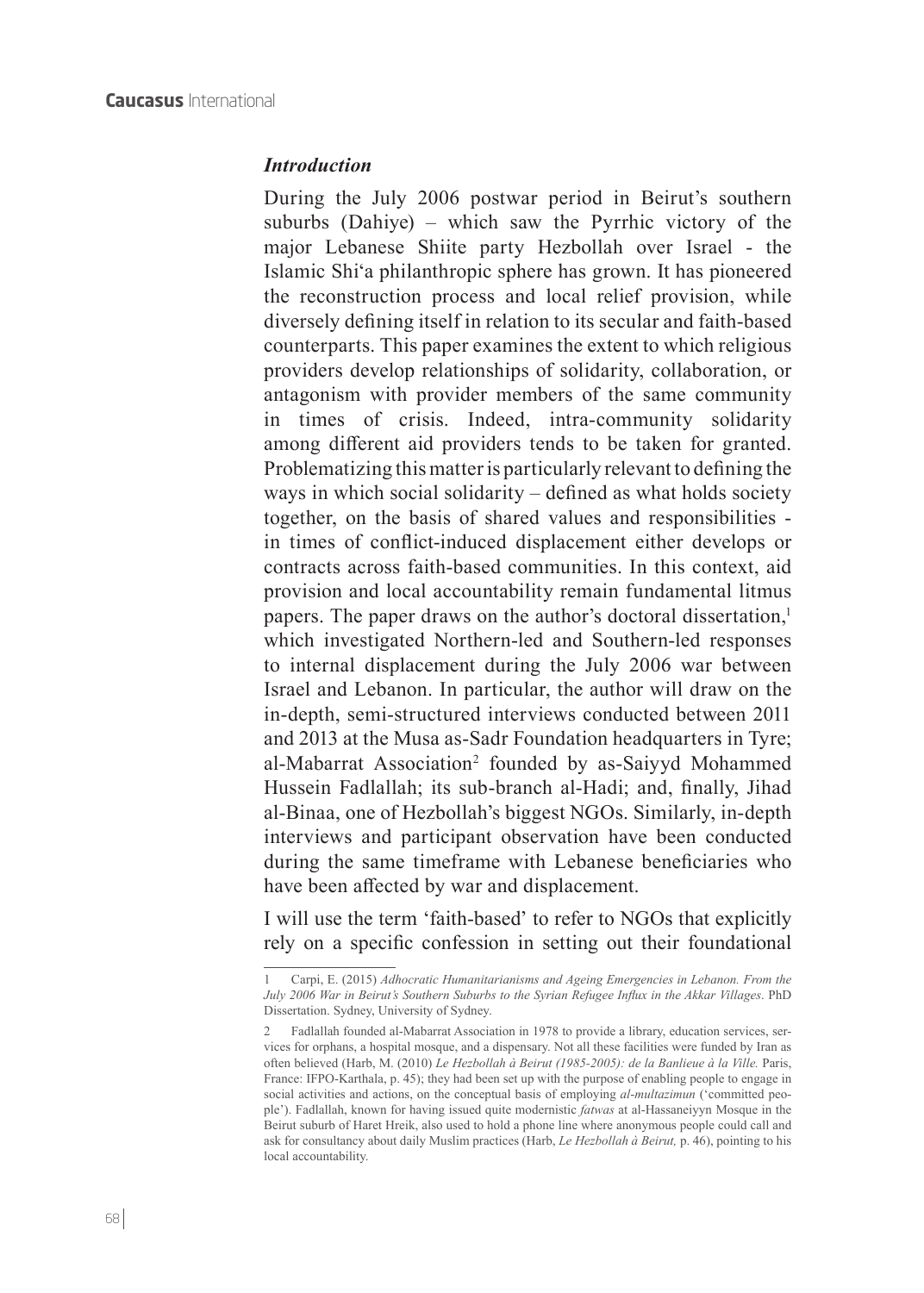#### *Introduction*

During the July 2006 postwar period in Beirut's southern suburbs (Dahiye) – which saw the Pyrrhic victory of the major Lebanese Shiite party Hezbollah over Israel - the Islamic Shi'a philanthropic sphere has grown. It has pioneered the reconstruction process and local relief provision, while diversely defining itself in relation to its secular and faith-based counterparts. This paper examines the extent to which religious providers develop relationships of solidarity, collaboration, or antagonism with provider members of the same community in times of crisis. Indeed, intra-community solidarity among different aid providers tends to be taken for granted. Problematizing this matter is particularly relevant to defining the ways in which social solidarity – defined as what holds society together, on the basis of shared values and responsibilities in times of conflict-induced displacement either develops or contracts across faith-based communities. In this context, aid provision and local accountability remain fundamental litmus papers. The paper draws on the author's doctoral dissertation,<sup>1</sup> which investigated Northern-led and Southern-led responses to internal displacement during the July 2006 war between Israel and Lebanon. In particular, the author will draw on the in-depth, semi-structured interviews conducted between 2011 and 2013 at the Musa as-Sadr Foundation headquarters in Tyre; al-Mabarrat Association<sup>2</sup> founded by as-Saiyyd Mohammed Hussein Fadlallah; its sub-branch al-Hadi; and, finally, Jihad al-Binaa, one of Hezbollah's biggest NGOs. Similarly, in-depth interviews and participant observation have been conducted during the same timeframe with Lebanese beneficiaries who have been affected by war and displacement.

I will use the term 'faith-based' to refer to NGOs that explicitly rely on a specific confession in setting out their foundational

<sup>1</sup> Carpi, E. (2015) *Adhocratic Humanitarianisms and Ageing Emergencies in Lebanon. From the July 2006 War in Beirut's Southern Suburbs to the Syrian Refugee Influx in the Akkar Villages*. PhD Dissertation. Sydney, University of Sydney.

<sup>2</sup> Fadlallah founded al-Mabarrat Association in 1978 to provide a library, education services, services for orphans, a hospital mosque, and a dispensary. Not all these facilities were funded by Iran as often believed (Harb, M. (2010) *Le Hezbollah à Beirut (1985-2005): de la Banlieue à la Ville.* Paris, France: IFPO-Karthala, p. 45); they had been set up with the purpose of enabling people to engage in social activities and actions, on the conceptual basis of employing *al*-*multazimun* ('committed people'). Fadlallah, known for having issued quite modernistic *fatwas* at al-Hassaneiyyn Mosque in the Beirut suburb of Haret Hreik, also used to hold a phone line where anonymous people could call and ask for consultancy about daily Muslim practices (Harb, *Le Hezbollah à Beirut,* p. 46), pointing to his local accountability.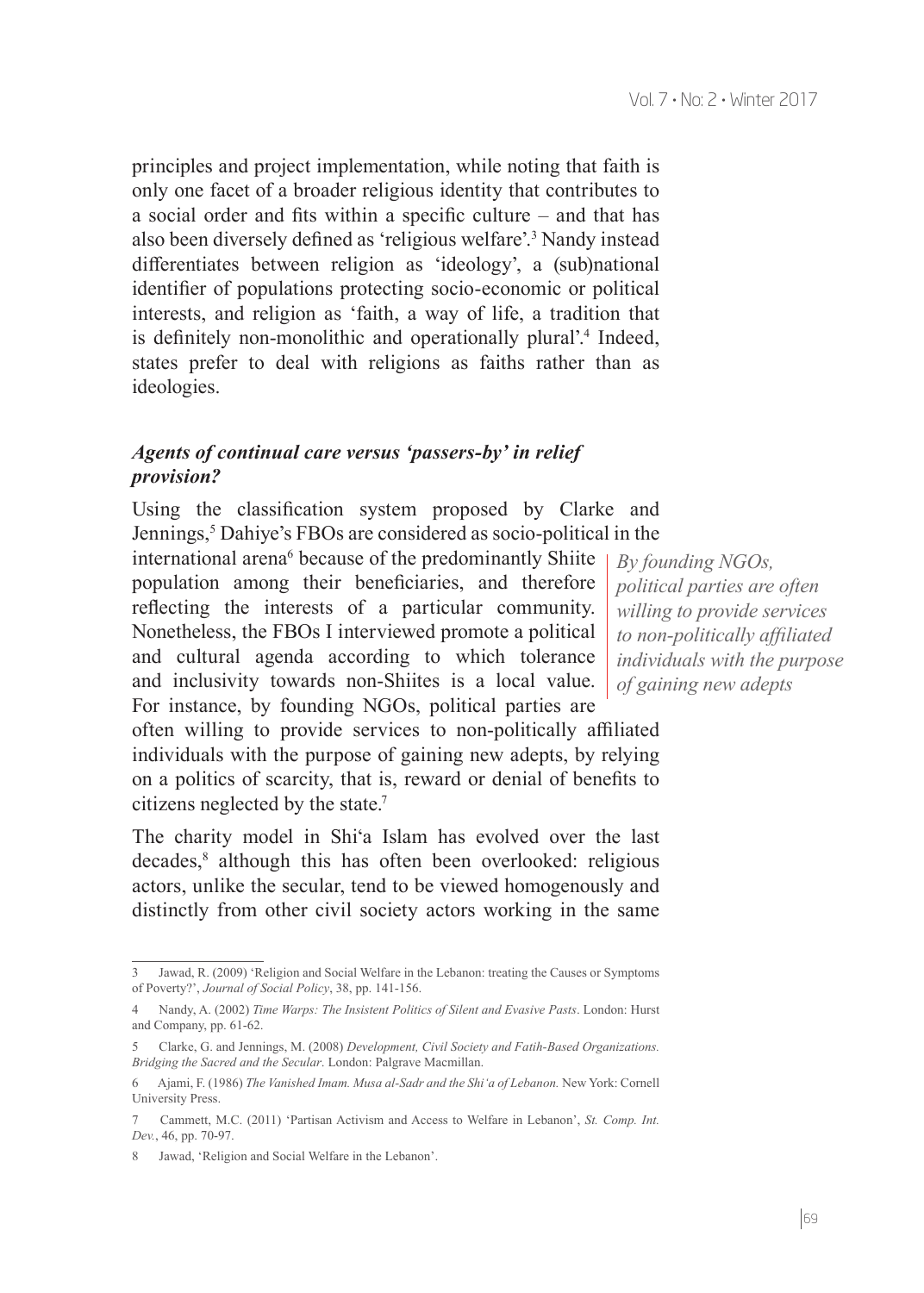principles and project implementation, while noting that faith is only one facet of a broader religious identity that contributes to a social order and fits within a specific culture – and that has also been diversely defined as 'religious welfare'.<sup>3</sup> Nandy instead differentiates between religion as 'ideology', a (sub)national identifier of populations protecting socio-economic or political interests, and religion as 'faith, a way of life, a tradition that is definitely non-monolithic and operationally plural'.<sup>4</sup> Indeed, states prefer to deal with religions as faiths rather than as ideologies.

## *Agents of continual care versus 'passers-by' in relief provision?*

Using the classification system proposed by Clarke and Jennings,<sup>5</sup> Dahiye's FBOs are considered as socio-political in the

international arena<sup>6</sup> because of the predominantly Shiite population among their beneficiaries, and therefore reflecting the interests of a particular community. Nonetheless, the FBOs I interviewed promote a political and cultural agenda according to which tolerance and inclusivity towards non-Shiites is a local value. For instance, by founding NGOs, political parties are

often willing to provide services to non-politically affiliated individuals with the purpose of gaining new adepts, by relying on a politics of scarcity, that is, reward or denial of benefits to citizens neglected by the state.7

The charity model in Shi'a Islam has evolved over the last decades,<sup>8</sup> although this has often been overlooked: religious actors, unlike the secular, tend to be viewed homogenously and distinctly from other civil society actors working in the same

*By founding NGOs, political parties are often willing to provide services to non-politically affiliated individuals with the purpose of gaining new adepts*

Jawad, R. (2009) 'Religion and Social Welfare in the Lebanon: treating the Causes or Symptoms of Poverty?', *Journal of Social Policy*, 38, pp. 141-156.

<sup>4</sup> Nandy, A. (2002) *Time Warps: The Insistent Politics of Silent and Evasive Pasts*. London: Hurst and Company, pp. 61-62.

<sup>5</sup> Clarke, G. and Jennings, M. (2008) *Development, Civil Society and Fatih-Based Organizations. Bridging the Sacred and the Secular*. London: Palgrave Macmillan.

<sup>6</sup> Ajami, F. (1986) *The Vanished Imam. Musa al-Sadr and the Shi'a of Lebanon.* New York: Cornell University Press.

<sup>7</sup> Cammett, M.C. (2011) 'Partisan Activism and Access to Welfare in Lebanon', *St. Comp. Int. Dev.*, 46, pp. 70-97.

<sup>8</sup> Jawad, 'Religion and Social Welfare in the Lebanon'.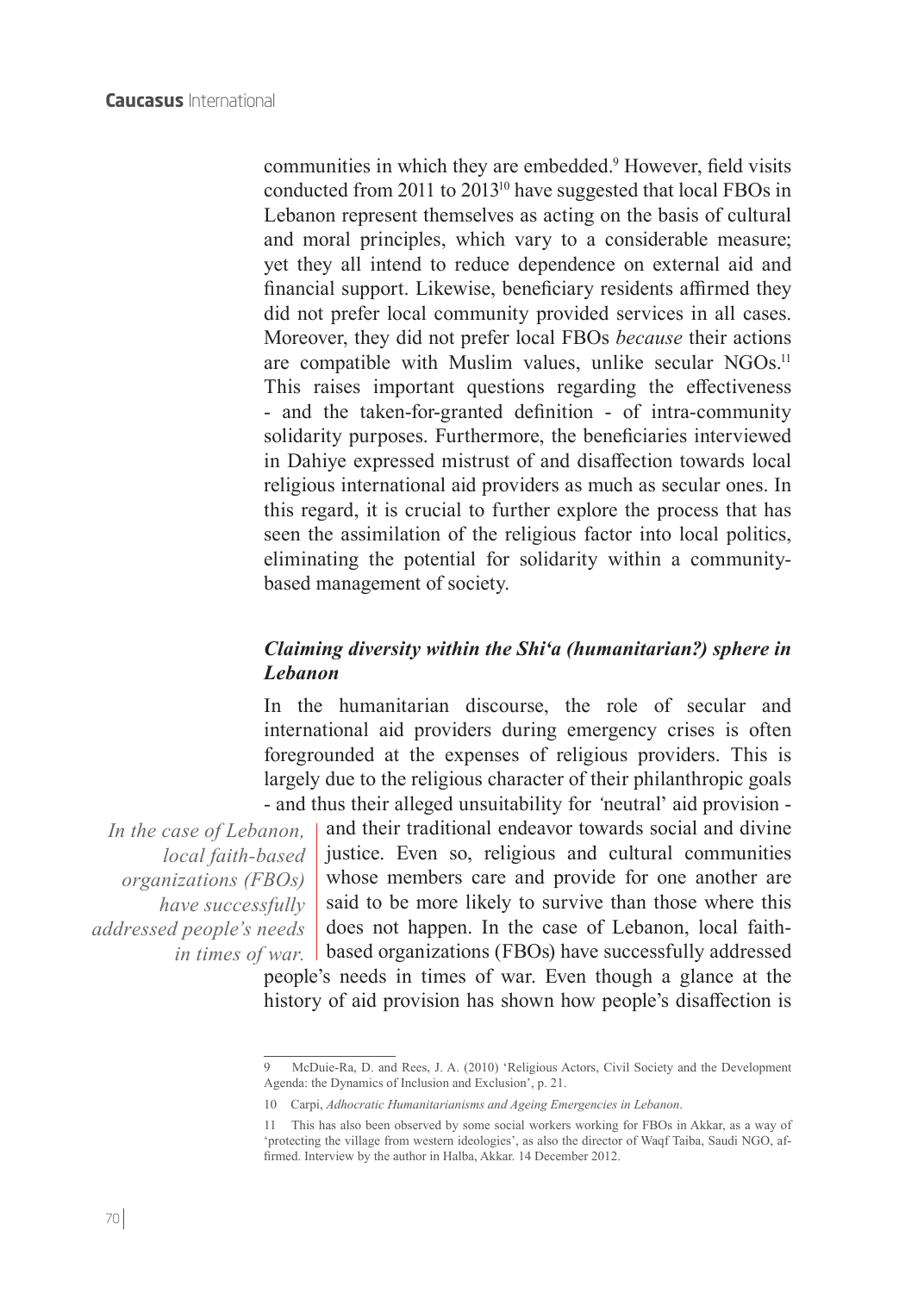communities in which they are embedded.<sup>9</sup> However, field visits conducted from 2011 to 201310 have suggested that local FBOs in Lebanon represent themselves as acting on the basis of cultural and moral principles, which vary to a considerable measure; yet they all intend to reduce dependence on external aid and financial support. Likewise, beneficiary residents affirmed they did not prefer local community provided services in all cases. Moreover, they did not prefer local FBOs *because* their actions are compatible with Muslim values, unlike secular NGOs.<sup>11</sup> This raises important questions regarding the effectiveness - and the taken-for-granted definition - of intra-community solidarity purposes. Furthermore, the beneficiaries interviewed in Dahiye expressed mistrust of and disaffection towards local religious international aid providers as much as secular ones. In this regard, it is crucial to further explore the process that has seen the assimilation of the religious factor into local politics, eliminating the potential for solidarity within a communitybased management of society.

## *Claiming diversity within the Shi'a (humanitarian?) sphere in Lebanon*

In the humanitarian discourse, the role of secular and international aid providers during emergency crises is often foregrounded at the expenses of religious providers. This is largely due to the religious character of their philanthropic goals - and thus their alleged unsuitability for *'*neutral' aid provision -

*In the case of Lebanon, local faith-based organizations (FBOs) have successfully addressed people's needs* 

and their traditional endeavor towards social and divine justice. Even so, religious and cultural communities whose members care and provide for one another are said to be more likely to survive than those where this does not happen. In the case of Lebanon, local faithin times of war. | based organizations (FBOs) have successfully addressed

people's needs in times of war. Even though a glance at the history of aid provision has shown how people's disaffection is

<sup>9</sup> McDuie-Ra, D. and Rees, J. A. (2010) 'Religious Actors, Civil Society and the Development Agenda: the Dynamics of Inclusion and Exclusion', p. 21.

<sup>10</sup> Carpi, *Adhocratic Humanitarianisms and Ageing Emergencies in Lebanon*.

<sup>11</sup> This has also been observed by some social workers working for FBOs in Akkar, as a way of 'protecting the village from western ideologies', as also the director of Waqf Taiba, Saudi NGO, affirmed. Interview by the author in Halba, Akkar. 14 December 2012.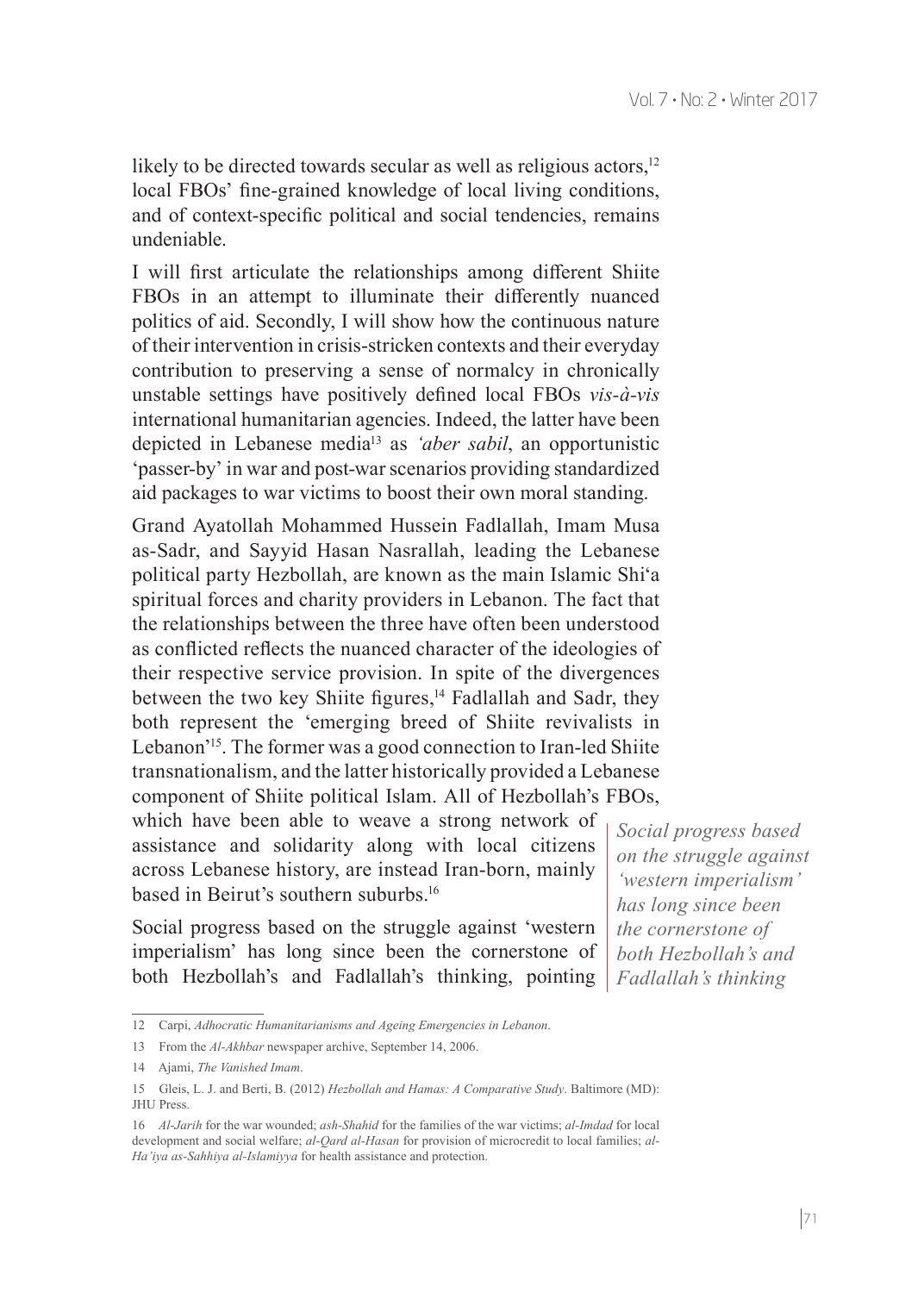likely to be directed towards secular as well as religious actors, $12$ local FBOs' fine-grained knowledge of local living conditions, and of context-specific political and social tendencies, remains undeniable.

I will first articulate the relationships among different Shiite FBOs in an attempt to illuminate their differently nuanced politics of aid. Secondly, I will show how the continuous nature of their intervention in crisis-stricken contexts and their everyday contribution to preserving a sense of normalcy in chronically unstable settings have positively defined local FBOs *vis-à-vis* international humanitarian agencies. Indeed, the latter have been depicted in Lebanese media13 as *'aber sabil*, an opportunistic 'passer-by' in war and post-war scenarios providing standardized aid packages to war victims to boost their own moral standing.

Grand Ayatollah Mohammed Hussein Fadlallah, Imam Musa as-Sadr, and Sayyid Hasan Nasrallah, leading the Lebanese political party Hezbollah, are known as the main Islamic Shi'a spiritual forces and charity providers in Lebanon. The fact that the relationships between the three have often been understood as conflicted reflects the nuanced character of the ideologies of their respective service provision. In spite of the divergences between the two key Shiite figures,<sup>14</sup> Fadlallah and Sadr, they both represent the 'emerging breed of Shiite revivalists in Lebanon'15. The former was a good connection to Iran-led Shiite transnationalism, and the latter historically provided a Lebanese component of Shiite political Islam. All of Hezbollah's FBOs,

which have been able to weave a strong network of assistance and solidarity along with local citizens across Lebanese history, are instead Iran-born, mainly based in Beirut's southern suburbs.16

Social progress based on the struggle against 'western imperialism' has long since been the cornerstone of both Hezbollah's and Fadlallah's thinking, pointing *Social progress based on the struggle against 'western imperialism' has long since been the cornerstone of both Hezbollah's and Fadlallah's thinking*

<sup>12</sup> Carpi, *Adhocratic Humanitarianisms and Ageing Emergencies in Lebanon*.

<sup>13</sup> From the *Al-Akhbar* newspaper archive, September 14, 2006.

<sup>14</sup> Ajami, *The Vanished Imam*.

<sup>15</sup> Gleis, L. J. and Berti, B. (2012) *Hezbollah and Hamas: A Comparative Study*. Baltimore (MD): JHU Press.

<sup>16</sup> *Al-Jarih* for the war wounded; *ash-Shahid* for the families of the war victims; *al-Imdad* for local development and social welfare; *al-Qard al-Hasan* for provision of microcredit to local families; *al-Ha'iya as-Sahhiya al-Islamiyya* for health assistance and protection.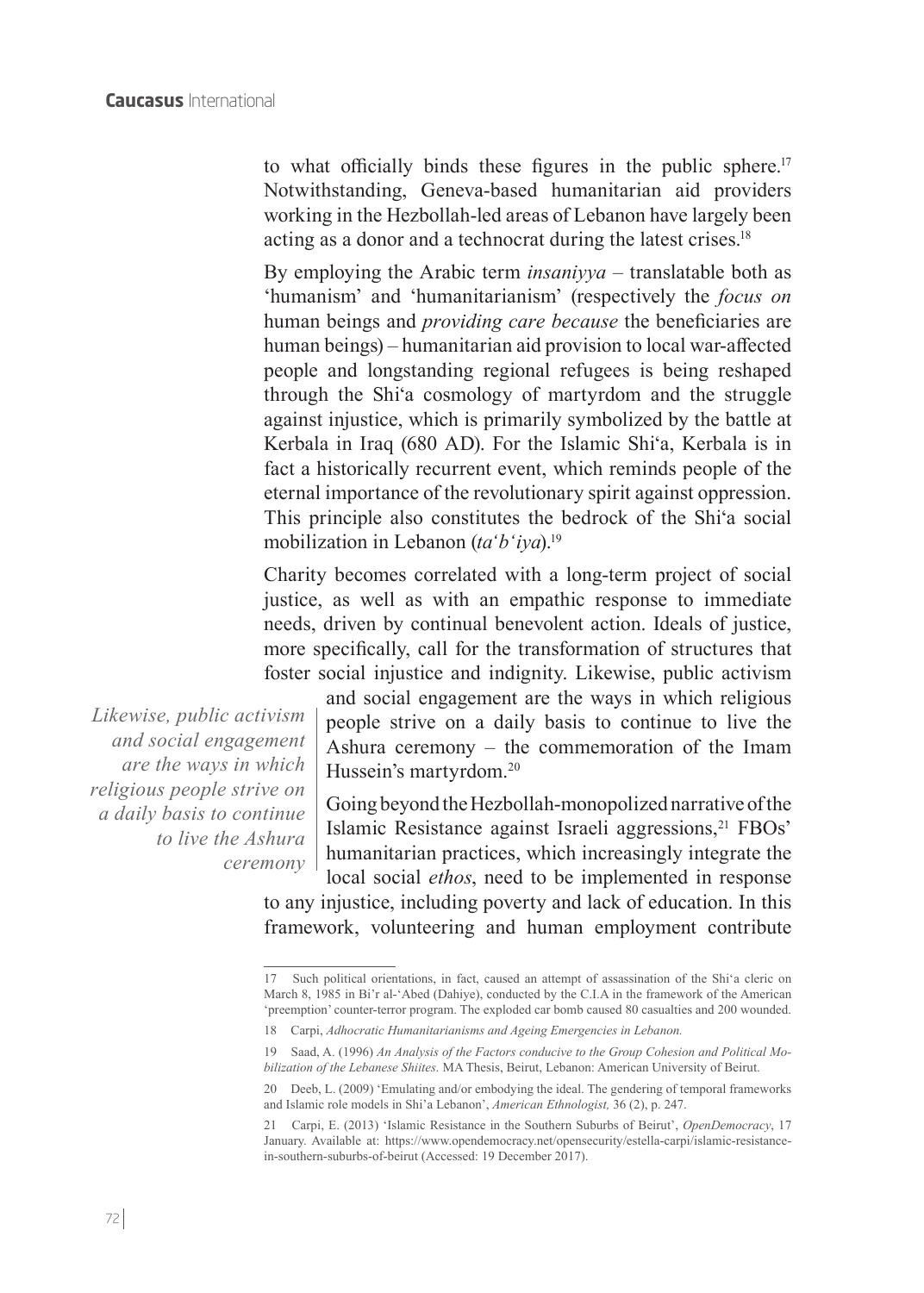to what officially binds these figures in the public sphere.<sup>17</sup> Notwithstanding, Geneva-based humanitarian aid providers working in the Hezbollah-led areas of Lebanon have largely been acting as a donor and a technocrat during the latest crises.<sup>18</sup>

By employing the Arabic term *insaniyya* – translatable both as 'humanism' and 'humanitarianism' (respectively the *focus on* human beings and *providing care because* the beneficiaries are human beings) – humanitarian aid provision to local war-affected people and longstanding regional refugees is being reshaped through the Shi'a cosmology of martyrdom and the struggle against injustice, which is primarily symbolized by the battle at Kerbala in Iraq (680 AD). For the Islamic Shi'a, Kerbala is in fact a historically recurrent event, which reminds people of the eternal importance of the revolutionary spirit against oppression. This principle also constitutes the bedrock of the Shi'a social mobilization in Lebanon (*ta'b'iya*).<sup>19</sup>

Charity becomes correlated with a long-term project of social justice, as well as with an empathic response to immediate needs, driven by continual benevolent action. Ideals of justice, more specifically, call for the transformation of structures that foster social injustice and indignity. Likewise, public activism

*Likewise, public activism and social engagement are the ways in which religious people strive on a daily basis to continue to live the Ashura ceremony* and social engagement are the ways in which religious people strive on a daily basis to continue to live the Ashura ceremony – the commemoration of the Imam Hussein's martyrdom.20

Going beyond the Hezbollah-monopolized narrative of the Islamic Resistance against Israeli aggressions,<sup>21</sup> FBOs' humanitarian practices, which increasingly integrate the local social *ethos*, need to be implemented in response

to any injustice, including poverty and lack of education. In this framework, volunteering and human employment contribute

<sup>17</sup> Such political orientations, in fact, caused an attempt of assassination of the Shi'a cleric on March 8, 1985 in Bi'r al-'Abed (Dahiye), conducted by the C.I.A in the framework of the American 'preemption' counter-terror program. The exploded car bomb caused 80 casualties and 200 wounded.

<sup>18</sup> Carpi, *Adhocratic Humanitarianisms and Ageing Emergencies in Lebanon.*

<sup>19</sup> Saad, A. (1996) *An Analysis of the Factors conducive to the Group Cohesion and Political Mobilization of the Lebanese Shiites.* MA Thesis, Beirut, Lebanon: American University of Beirut.

<sup>20</sup> Deeb, L. (2009) 'Emulating and/or embodying the ideal. The gendering of temporal frameworks and Islamic role models in Shi'a Lebanon', *American Ethnologist,* 36 (2), p. 247.

<sup>21</sup> Carpi, E. (2013) 'Islamic Resistance in the Southern Suburbs of Beirut', *OpenDemocracy*, 17 January. Available at: https://www.opendemocracy.net/opensecurity/estella-carpi/islamic-resistancein-southern-suburbs-of-beirut (Accessed: 19 December 2017).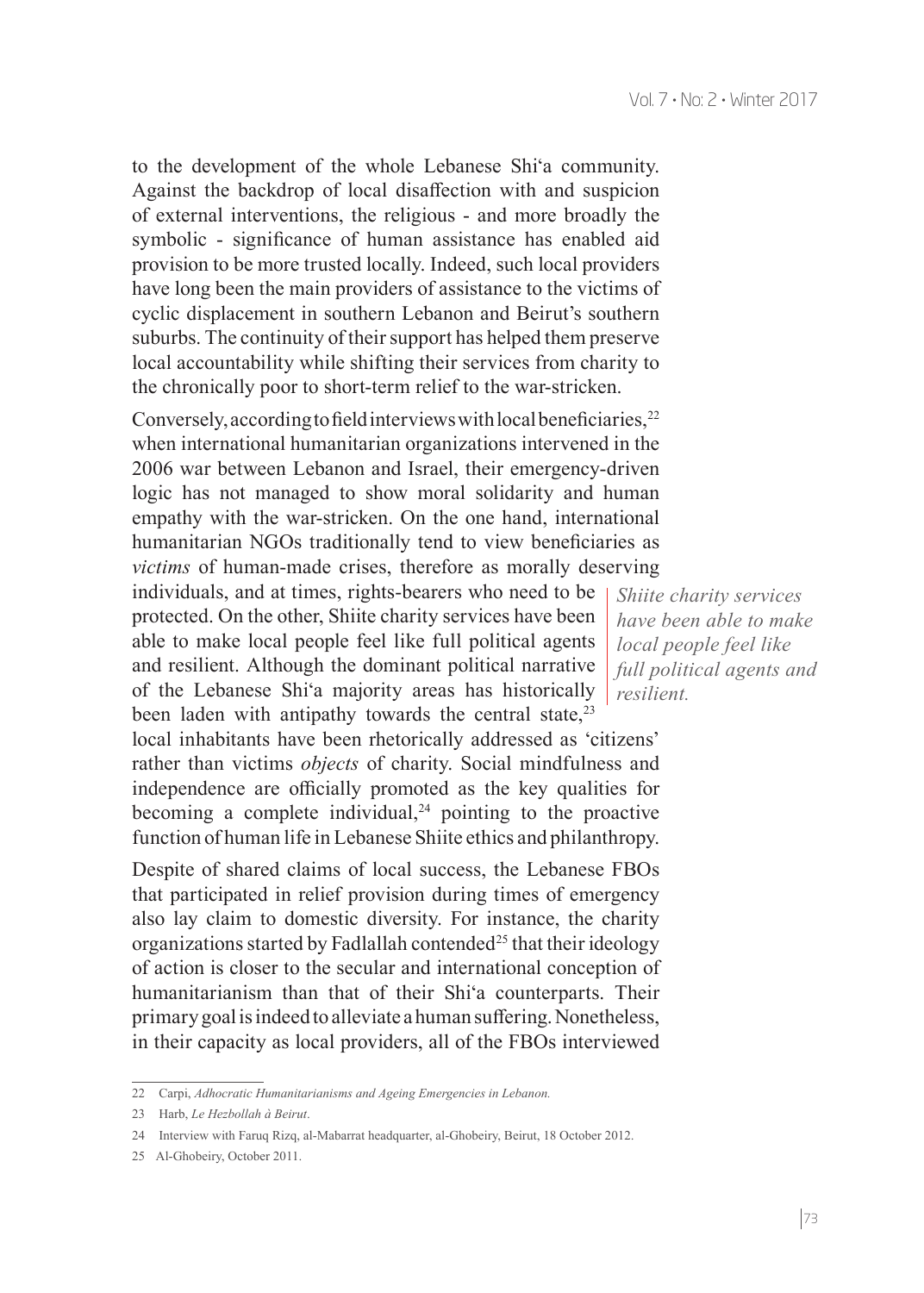to the development of the whole Lebanese Shi'a community. Against the backdrop of local disaffection with and suspicion of external interventions, the religious - and more broadly the symbolic - significance of human assistance has enabled aid provision to be more trusted locally. Indeed, such local providers have long been the main providers of assistance to the victims of cyclic displacement in southern Lebanon and Beirut's southern suburbs. The continuity of their support has helped them preserve local accountability while shifting their services from charity to the chronically poor to short-term relief to the war-stricken.

Conversely, according to field interviews with local beneficiaries,<sup>22</sup> when international humanitarian organizations intervened in the 2006 war between Lebanon and Israel, their emergency-driven logic has not managed to show moral solidarity and human empathy with the war-stricken. On the one hand, international humanitarian NGOs traditionally tend to view beneficiaries as *victims* of human-made crises, therefore as morally deserving

individuals, and at times, rights-bearers who need to be protected. On the other, Shiite charity services have been able to make local people feel like full political agents and resilient. Although the dominant political narrative of the Lebanese Shi'a majority areas has historically been laden with antipathy towards the central state, $2<sup>3</sup>$ 

local inhabitants have been rhetorically addressed as 'citizens' rather than victims *objects* of charity. Social mindfulness and independence are officially promoted as the key qualities for becoming a complete individual, $24$  pointing to the proactive function of human life in Lebanese Shiite ethics and philanthropy.

Despite of shared claims of local success, the Lebanese FBOs that participated in relief provision during times of emergency also lay claim to domestic diversity. For instance, the charity organizations started by Fadlallah contended<sup>25</sup> that their ideology of action is closer to the secular and international conception of humanitarianism than that of their Shi'a counterparts. Their primary goal is indeed to alleviate a human suffering. Nonetheless, in their capacity as local providers, all of the FBOs interviewed

*Shiite charity services have been able to make local people feel like full political agents and resilient.*

<sup>22</sup> Carpi, *Adhocratic Humanitarianisms and Ageing Emergencies in Lebanon.*

<sup>23</sup> Harb, *Le Hezbollah à Beirut*.

<sup>24</sup> Interview with Faruq Rizq, al-Mabarrat headquarter, al-Ghobeiry, Beirut, 18 October 2012.

<sup>25</sup> Al-Ghobeiry, October 2011.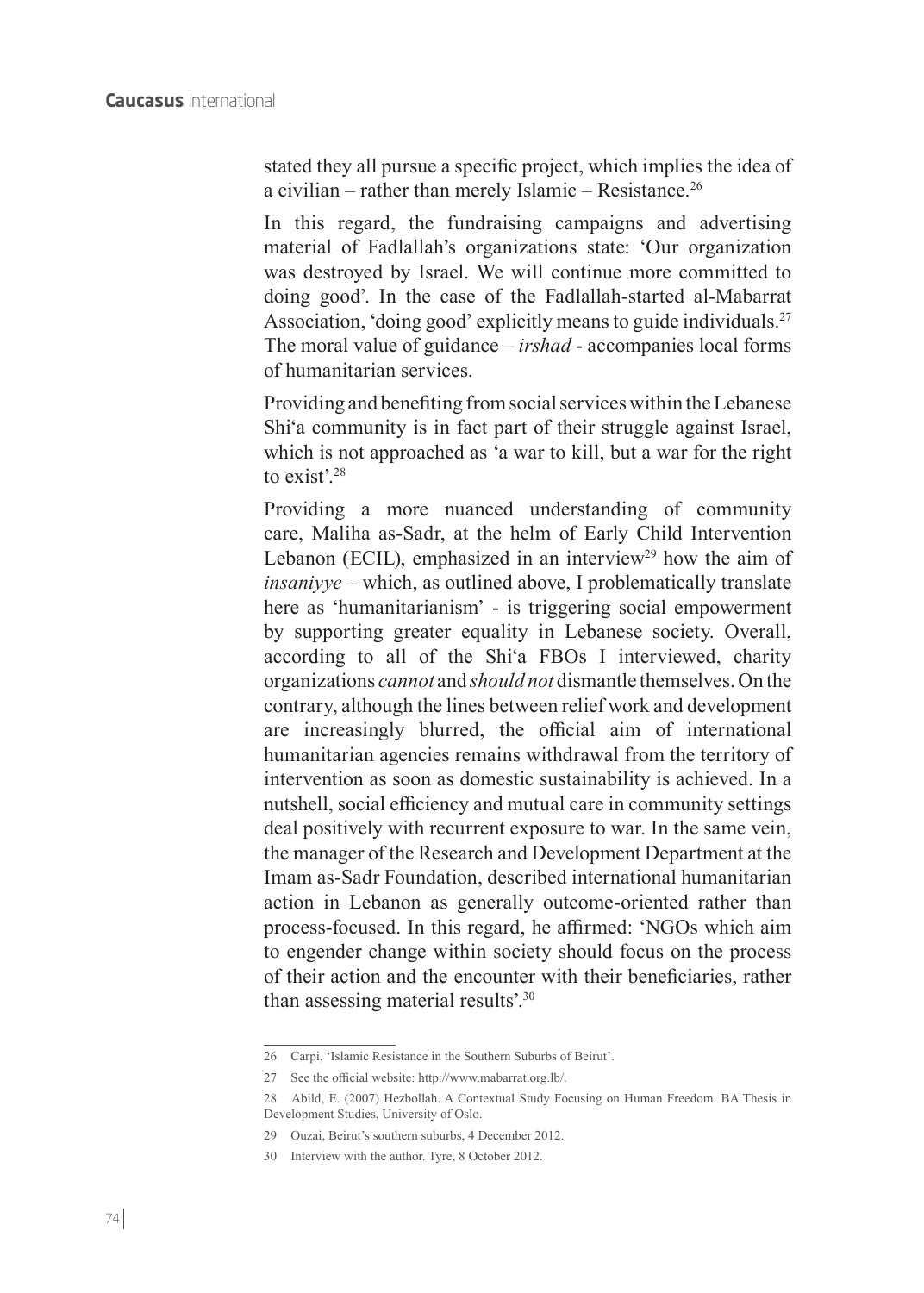stated they all pursue a specific project, which implies the idea of a civilian – rather than merely Islamic – Resistance.26

In this regard, the fundraising campaigns and advertising material of Fadlallah's organizations state: 'Our organization was destroyed by Israel. We will continue more committed to doing good'. In the case of the Fadlallah-started al-Mabarrat Association, 'doing good' explicitly means to guide individuals.<sup>27</sup> The moral value of guidance – *irshad* - accompanies local forms of humanitarian services.

Providing and benefiting from social services within the Lebanese Shi'a community is in fact part of their struggle against Israel, which is not approached as 'a war to kill, but a war for the right to exist'.<sup>28</sup>

Providing a more nuanced understanding of community care, Maliha as-Sadr, at the helm of Early Child Intervention Lebanon (ECIL), emphasized in an interview<sup>29</sup> how the aim of *insaniyye* – which, as outlined above, I problematically translate here as 'humanitarianism' - is triggering social empowerment by supporting greater equality in Lebanese society. Overall, according to all of the Shi'a FBOs I interviewed, charity organizations *cannot* and *should not* dismantle themselves. On the contrary, although the lines between relief work and development are increasingly blurred, the official aim of international humanitarian agencies remains withdrawal from the territory of intervention as soon as domestic sustainability is achieved. In a nutshell, social efficiency and mutual care in community settings deal positively with recurrent exposure to war. In the same vein, the manager of the Research and Development Department at the Imam as-Sadr Foundation, described international humanitarian action in Lebanon as generally outcome-oriented rather than process-focused. In this regard, he affirmed: 'NGOs which aim to engender change within society should focus on the process of their action and the encounter with their beneficiaries, rather than assessing material results'.30

<sup>26</sup> Carpi, 'Islamic Resistance in the Southern Suburbs of Beirut'.

<sup>27</sup> See the official website: http://www.mabarrat.org.lb/.

<sup>28</sup> Abild, E. (2007) Hezbollah. A Contextual Study Focusing on Human Freedom. BA Thesis in Development Studies, University of Oslo.

<sup>29</sup> Ouzai, Beirut's southern suburbs, 4 December 2012.

<sup>30</sup> Interview with the author. Tyre, 8 October 2012.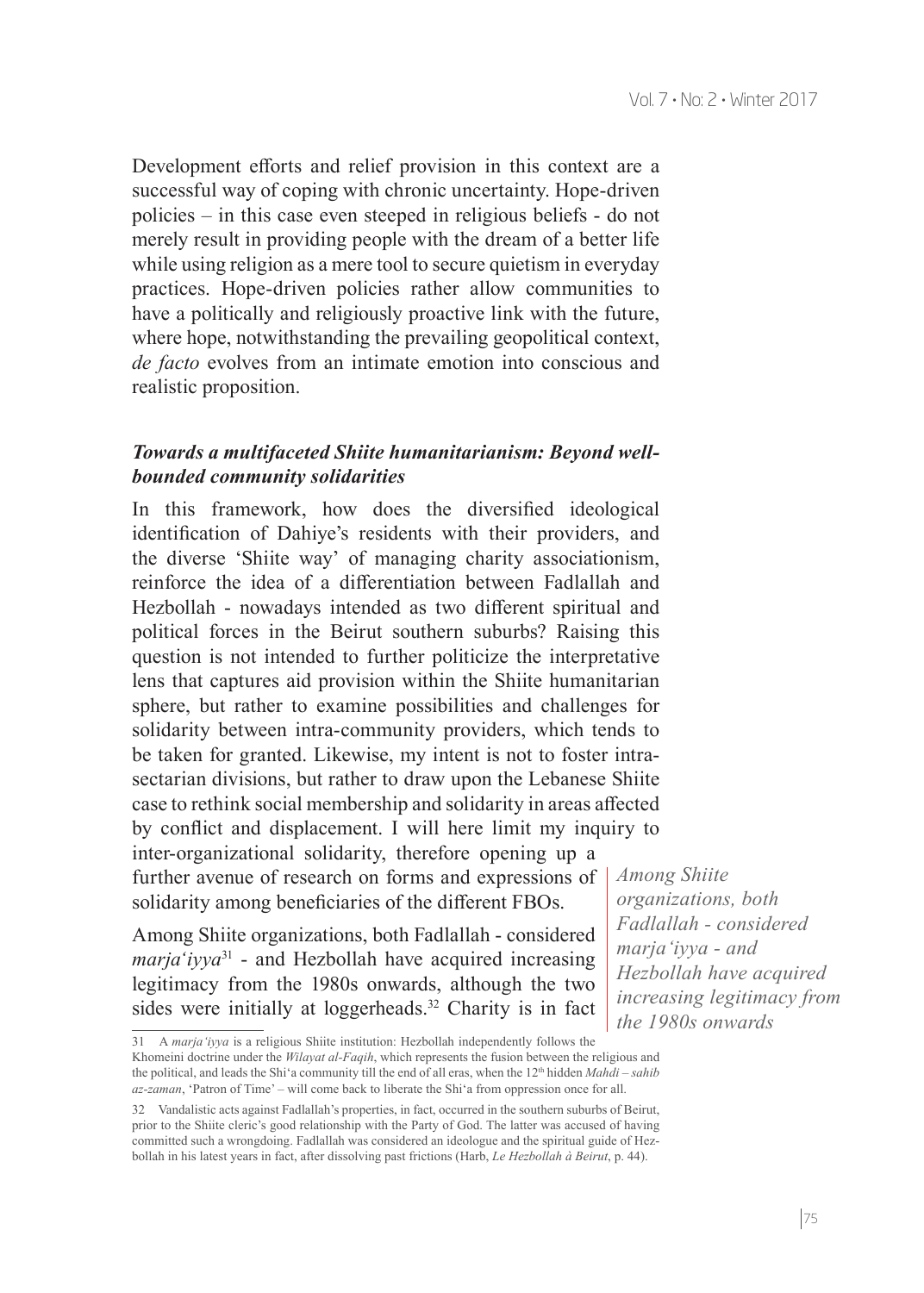Development efforts and relief provision in this context are a successful way of coping with chronic uncertainty. Hope-driven policies – in this case even steeped in religious beliefs - do not merely result in providing people with the dream of a better life while using religion as a mere tool to secure quietism in everyday practices. Hope-driven policies rather allow communities to have a politically and religiously proactive link with the future, where hope, notwithstanding the prevailing geopolitical context, *de facto* evolves from an intimate emotion into conscious and realistic proposition.

#### *Towards a multifaceted Shiite humanitarianism: Beyond wellbounded community solidarities*

In this framework, how does the diversified ideological identification of Dahiye's residents with their providers, and the diverse 'Shiite way' of managing charity associationism, reinforce the idea of a differentiation between Fadlallah and Hezbollah - nowadays intended as two different spiritual and political forces in the Beirut southern suburbs? Raising this question is not intended to further politicize the interpretative lens that captures aid provision within the Shiite humanitarian sphere, but rather to examine possibilities and challenges for solidarity between intra-community providers, which tends to be taken for granted. Likewise, my intent is not to foster intrasectarian divisions, but rather to draw upon the Lebanese Shiite case to rethink social membership and solidarity in areas affected by conflict and displacement. I will here limit my inquiry to inter-organizational solidarity, therefore opening up a further avenue of research on forms and expressions of solidarity among beneficiaries of the different FBOs.

Among Shiite organizations, both Fadlallah - considered *maria'ivya*<sup>31</sup> - and Hezbollah have acquired increasing legitimacy from the 1980s onwards, although the two sides were initially at loggerheads.<sup>32</sup> Charity is in fact

*Among Shiite organizations, both Fadlallah - considered marja'iyya - and Hezbollah have acquired increasing legitimacy from the 1980s onwards*

<sup>31</sup> A *marja'iyya* is a religious Shiite institution: Hezbollah independently follows the Khomeini doctrine under the *Wilayat al-Faqih*, which represents the fusion between the religious and the political, and leads the Shi'a community till the end of all eras, when the 12<sup>th</sup> hidden *Mahdi* – *sahib az-zaman*, 'Patron of Time' – will come back to liberate the Shi'a from oppression once for all.

<sup>32</sup> Vandalistic acts against Fadlallah's properties, in fact, occurred in the southern suburbs of Beirut, prior to the Shiite cleric's good relationship with the Party of God. The latter was accused of having committed such a wrongdoing. Fadlallah was considered an ideologue and the spiritual guide of Hezbollah in his latest years in fact, after dissolving past frictions (Harb, *Le Hezbollah à Beirut*, p. 44).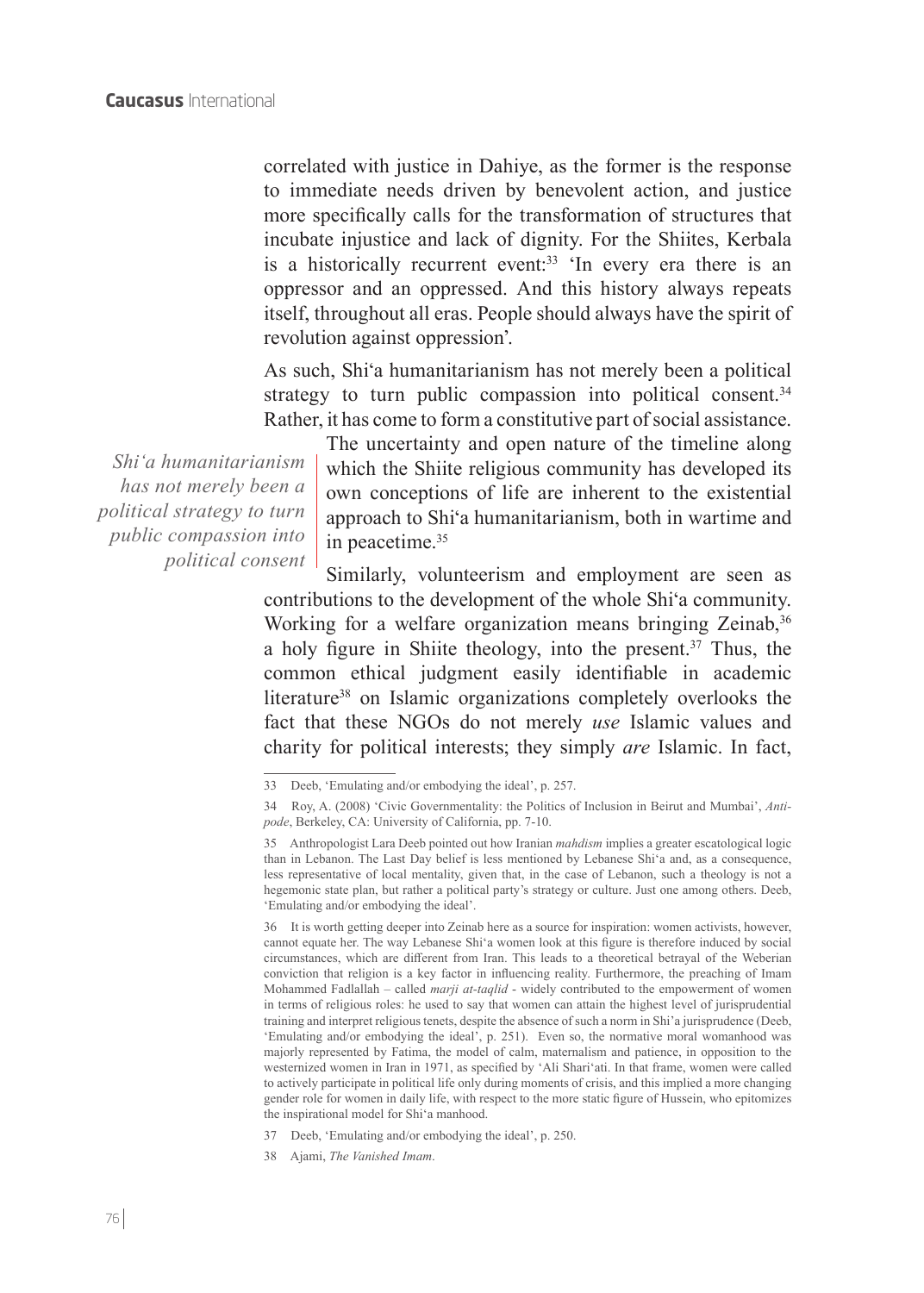correlated with justice in Dahiye, as the former is the response to immediate needs driven by benevolent action, and justice more specifically calls for the transformation of structures that incubate injustice and lack of dignity. For the Shiites, Kerbala is a historically recurrent event:<sup>33</sup> 'In every era there is an oppressor and an oppressed. And this history always repeats itself, throughout all eras. People should always have the spirit of revolution against oppression'.

As such, Shi'a humanitarianism has not merely been a political strategy to turn public compassion into political consent.<sup>34</sup> Rather, it has come to form a constitutive part of social assistance.

*Shi'a humanitarianism has not merely been a political strategy to turn public compassion into political consent* The uncertainty and open nature of the timeline along which the Shiite religious community has developed its own conceptions of life are inherent to the existential approach to Shi'a humanitarianism, both in wartime and in peacetime.<sup>35</sup>

Similarly, volunteerism and employment are seen as contributions to the development of the whole Shi'a community. Working for a welfare organization means bringing Zeinab,<sup>36</sup> a holy figure in Shiite theology, into the present.<sup>37</sup> Thus, the common ethical judgment easily identifiable in academic literature<sup>38</sup> on Islamic organizations completely overlooks the fact that these NGOs do not merely *use* Islamic values and charity for political interests; they simply *are* Islamic. In fact,

36 It is worth getting deeper into Zeinab here as a source for inspiration: women activists, however, cannot equate her. The way Lebanese Shi'a women look at this figure is therefore induced by social circumstances, which are different from Iran. This leads to a theoretical betrayal of the Weberian conviction that religion is a key factor in influencing reality. Furthermore, the preaching of Imam Mohammed Fadlallah – called *marji at-taqlid* - widely contributed to the empowerment of women in terms of religious roles: he used to say that women can attain the highest level of jurisprudential training and interpret religious tenets, despite the absence of such a norm in Shi'a jurisprudence (Deeb, 'Emulating and/or embodying the ideal', p. 251). Even so, the normative moral womanhood was majorly represented by Fatima, the model of calm, maternalism and patience, in opposition to the westernized women in Iran in 1971, as specified by 'Ali Shari'ati. In that frame, women were called to actively participate in political life only during moments of crisis, and this implied a more changing gender role for women in daily life, with respect to the more static figure of Hussein, who epitomizes the inspirational model for Shi'a manhood.

<sup>33</sup> Deeb, 'Emulating and/or embodying the ideal', p. 257.

<sup>34</sup> Roy, A. (2008) 'Civic Governmentality: the Politics of Inclusion in Beirut and Mumbai', *Antipode*, Berkeley, CA: University of California, pp. 7-10.

<sup>35</sup> Anthropologist Lara Deeb pointed out how Iranian *mahdism* implies a greater escatological logic than in Lebanon. The Last Day belief is less mentioned by Lebanese Shi'a and, as a consequence, less representative of local mentality, given that, in the case of Lebanon, such a theology is not a hegemonic state plan, but rather a political party's strategy or culture. Just one among others. Deeb, 'Emulating and/or embodying the ideal'.

<sup>37</sup> Deeb, 'Emulating and/or embodying the ideal', p. 250.

<sup>38</sup> Ajami, *The Vanished Imam*.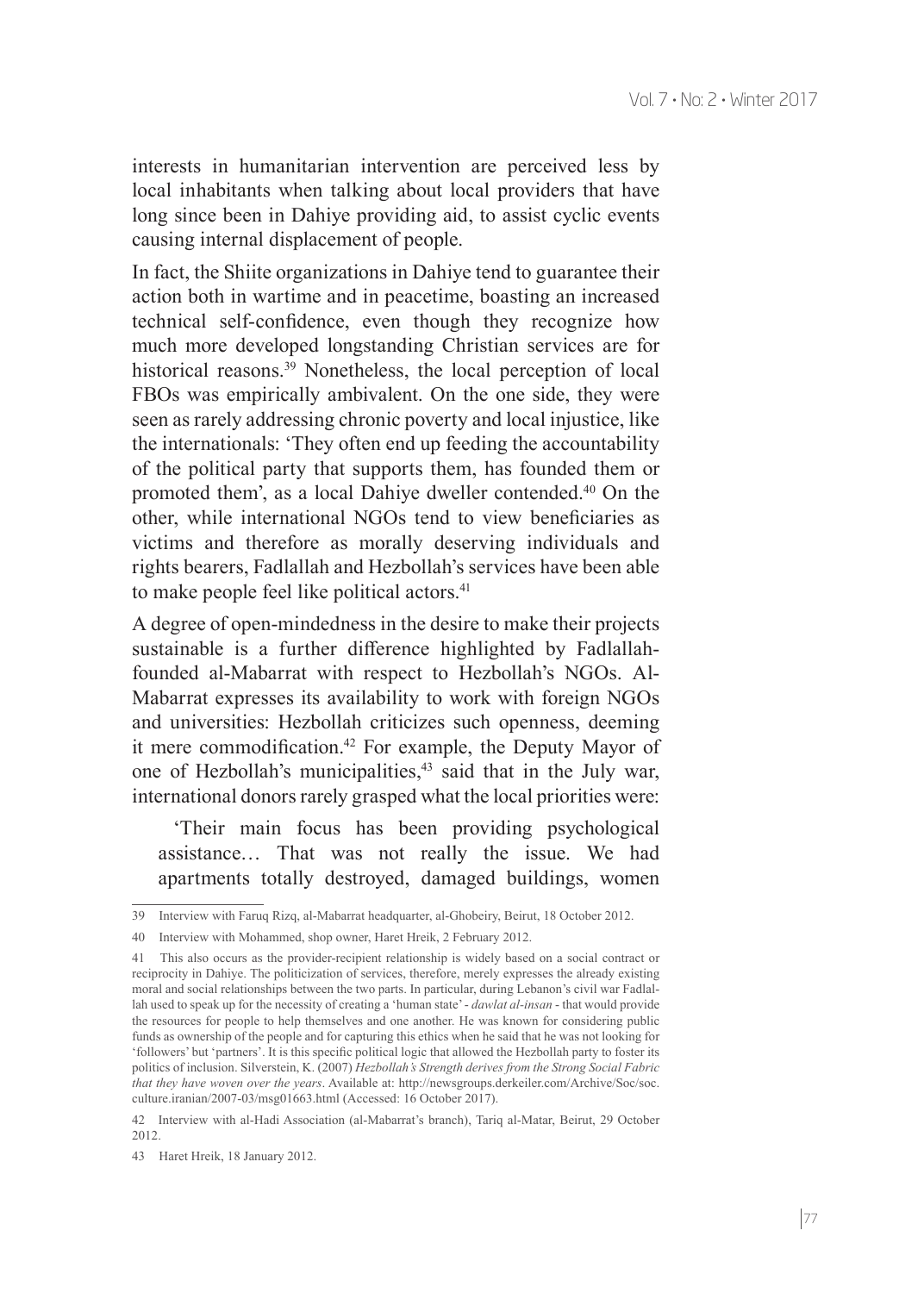interests in humanitarian intervention are perceived less by local inhabitants when talking about local providers that have long since been in Dahiye providing aid, to assist cyclic events causing internal displacement of people.

In fact, the Shiite organizations in Dahiye tend to guarantee their action both in wartime and in peacetime, boasting an increased technical self-confidence, even though they recognize how much more developed longstanding Christian services are for historical reasons.<sup>39</sup> Nonetheless, the local perception of local FBOs was empirically ambivalent. On the one side, they were seen as rarely addressing chronic poverty and local injustice, like the internationals: 'They often end up feeding the accountability of the political party that supports them, has founded them or promoted them', as a local Dahiye dweller contended.40 On the other, while international NGOs tend to view beneficiaries as victims and therefore as morally deserving individuals and rights bearers, Fadlallah and Hezbollah's services have been able to make people feel like political actors.<sup>41</sup>

A degree of open-mindedness in the desire to make their projects sustainable is a further difference highlighted by Fadlallahfounded al-Mabarrat with respect to Hezbollah's NGOs. Al-Mabarrat expresses its availability to work with foreign NGOs and universities: Hezbollah criticizes such openness, deeming it mere commodification.42 For example, the Deputy Mayor of one of Hezbollah's municipalities,<sup>43</sup> said that in the July war, international donors rarely grasped what the local priorities were:

 'Their main focus has been providing psychological assistance… That was not really the issue. We had apartments totally destroyed, damaged buildings, women

<sup>39</sup> Interview with Faruq Rizq, al-Mabarrat headquarter, al-Ghobeiry, Beirut, 18 October 2012.

<sup>40</sup> Interview with Mohammed, shop owner, Haret Hreik, 2 February 2012.

<sup>41</sup> This also occurs as the provider-recipient relationship is widely based on a social contract or reciprocity in Dahiye. The politicization of services, therefore, merely expresses the already existing moral and social relationships between the two parts. In particular, during Lebanon's civil war Fadlallah used to speak up for the necessity of creating a 'human state' - *dawlat al-insan* - that would provide the resources for people to help themselves and one another. He was known for considering public funds as ownership of the people and for capturing this ethics when he said that he was not looking for 'followers' but 'partners'. It is this specific political logic that allowed the Hezbollah party to foster its politics of inclusion. Silverstein, K. (2007) *Hezbollah's Strength derives from the Strong Social Fabric that they have woven over the years*. Available at: http://newsgroups.derkeiler.com/Archive/Soc/soc. culture.iranian/2007-03/msg01663.html (Accessed: 16 October 2017).

<sup>42</sup> Interview with al-Hadi Association (al-Mabarrat's branch), Tariq al-Matar, Beirut, 29 October 2012.

<sup>43</sup> Haret Hreik, 18 January 2012.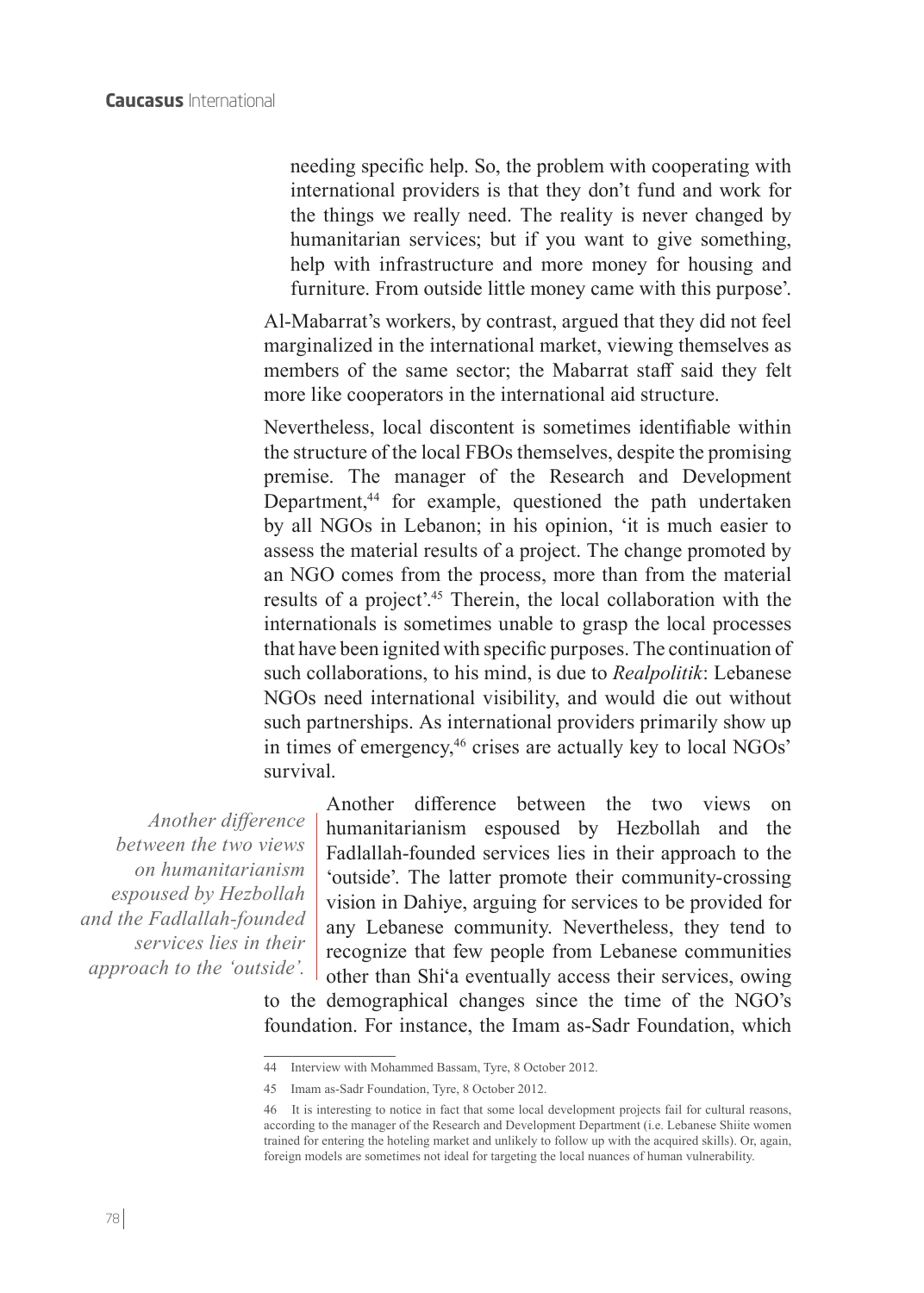needing specific help. So, the problem with cooperating with international providers is that they don't fund and work for the things we really need. The reality is never changed by humanitarian services; but if you want to give something, help with infrastructure and more money for housing and furniture. From outside little money came with this purpose'.

Al-Mabarrat's workers, by contrast, argued that they did not feel marginalized in the international market, viewing themselves as members of the same sector; the Mabarrat staff said they felt more like cooperators in the international aid structure.

Nevertheless, local discontent is sometimes identifiable within the structure of the local FBOs themselves, despite the promising premise. The manager of the Research and Development Department,<sup>44</sup> for example, questioned the path undertaken by all NGOs in Lebanon; in his opinion, 'it is much easier to assess the material results of a project. The change promoted by an NGO comes from the process, more than from the material results of a project'.45 Therein, the local collaboration with the internationals is sometimes unable to grasp the local processes that have been ignited with specific purposes. The continuation of such collaborations, to his mind, is due to *Realpolitik*: Lebanese NGOs need international visibility, and would die out without such partnerships. As international providers primarily show up in times of emergency,<sup>46</sup> crises are actually key to local NGOs' survival.

*Another difference between the two views on humanitarianism espoused by Hezbollah and the Fadlallah-founded services lies in their approach to the 'outside'.* Another difference between the two views on humanitarianism espoused by Hezbollah and the Fadlallah-founded services lies in their approach to the 'outside'. The latter promote their community-crossing vision in Dahiye, arguing for services to be provided for any Lebanese community. Nevertheless, they tend to recognize that few people from Lebanese communities other than Shi'a eventually access their services, owing

to the demographical changes since the time of the NGO's foundation. For instance, the Imam as-Sadr Foundation, which

<sup>44</sup> Interview with Mohammed Bassam, Tyre, 8 October 2012.

<sup>45</sup> Imam as-Sadr Foundation, Tyre, 8 October 2012.

<sup>46</sup> It is interesting to notice in fact that some local development projects fail for cultural reasons, according to the manager of the Research and Development Department (i.e. Lebanese Shiite women trained for entering the hoteling market and unlikely to follow up with the acquired skills). Or, again, foreign models are sometimes not ideal for targeting the local nuances of human vulnerability.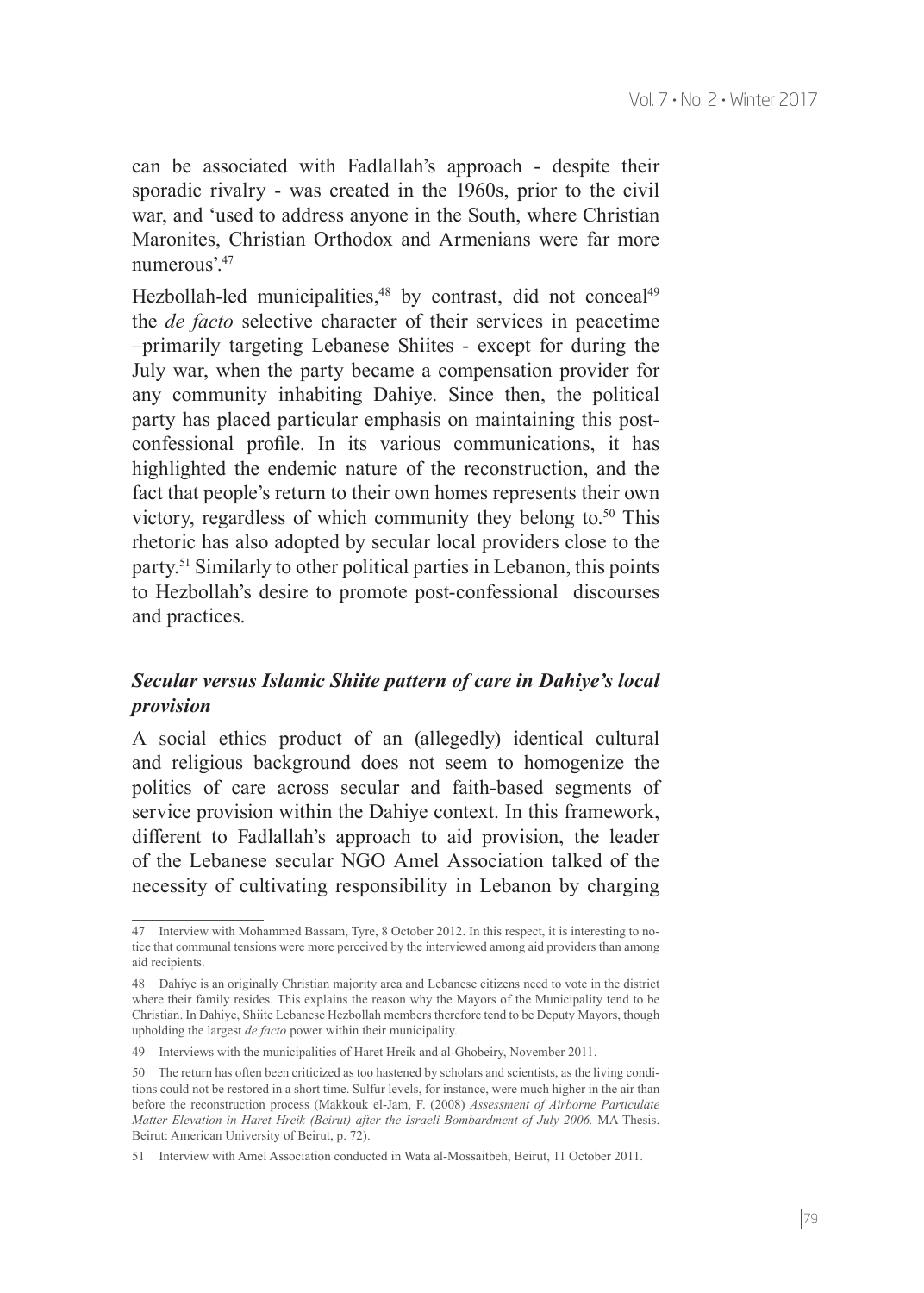can be associated with Fadlallah's approach - despite their sporadic rivalry - was created in the 1960s, prior to the civil war, and 'used to address anyone in the South, where Christian Maronites, Christian Orthodox and Armenians were far more numerous'.47

Hezbollah-led municipalities,<sup>48</sup> by contrast, did not conceal<sup>49</sup> the *de facto* selective character of their services in peacetime –primarily targeting Lebanese Shiites - except for during the July war, when the party became a compensation provider for any community inhabiting Dahiye. Since then, the political party has placed particular emphasis on maintaining this postconfessional profile. In its various communications, it has highlighted the endemic nature of the reconstruction, and the fact that people's return to their own homes represents their own victory, regardless of which community they belong to.<sup>50</sup> This rhetoric has also adopted by secular local providers close to the party.51 Similarly to other political parties in Lebanon, this points to Hezbollah's desire to promote post-confessional discourses and practices.

#### *Secular versus Islamic Shiite pattern of care in Dahiye's local provision*

A social ethics product of an (allegedly) identical cultural and religious background does not seem to homogenize the politics of care across secular and faith-based segments of service provision within the Dahiye context. In this framework, different to Fadlallah's approach to aid provision, the leader of the Lebanese secular NGO Amel Association talked of the necessity of cultivating responsibility in Lebanon by charging

<sup>47</sup> Interview with Mohammed Bassam, Tyre, 8 October 2012. In this respect, it is interesting to notice that communal tensions were more perceived by the interviewed among aid providers than among aid recipients.

<sup>48</sup> Dahiye is an originally Christian majority area and Lebanese citizens need to vote in the district where their family resides. This explains the reason why the Mayors of the Municipality tend to be Christian. In Dahiye, Shiite Lebanese Hezbollah members therefore tend to be Deputy Mayors, though upholding the largest *de facto* power within their municipality.

<sup>49</sup> Interviews with the municipalities of Haret Hreik and al-Ghobeiry, November 2011.

<sup>50</sup> The return has often been criticized as too hastened by scholars and scientists, as the living conditions could not be restored in a short time. Sulfur levels, for instance, were much higher in the air than before the reconstruction process (Makkouk el-Jam, F. (2008) *Assessment of Airborne Particulate Matter Elevation in Haret Hreik (Beirut) after the Israeli Bombardment of July 2006.* MA Thesis. Beirut: American University of Beirut, p. 72).

<sup>51</sup> Interview with Amel Association conducted in Wata al-Mossaitbeh, Beirut, 11 October 2011.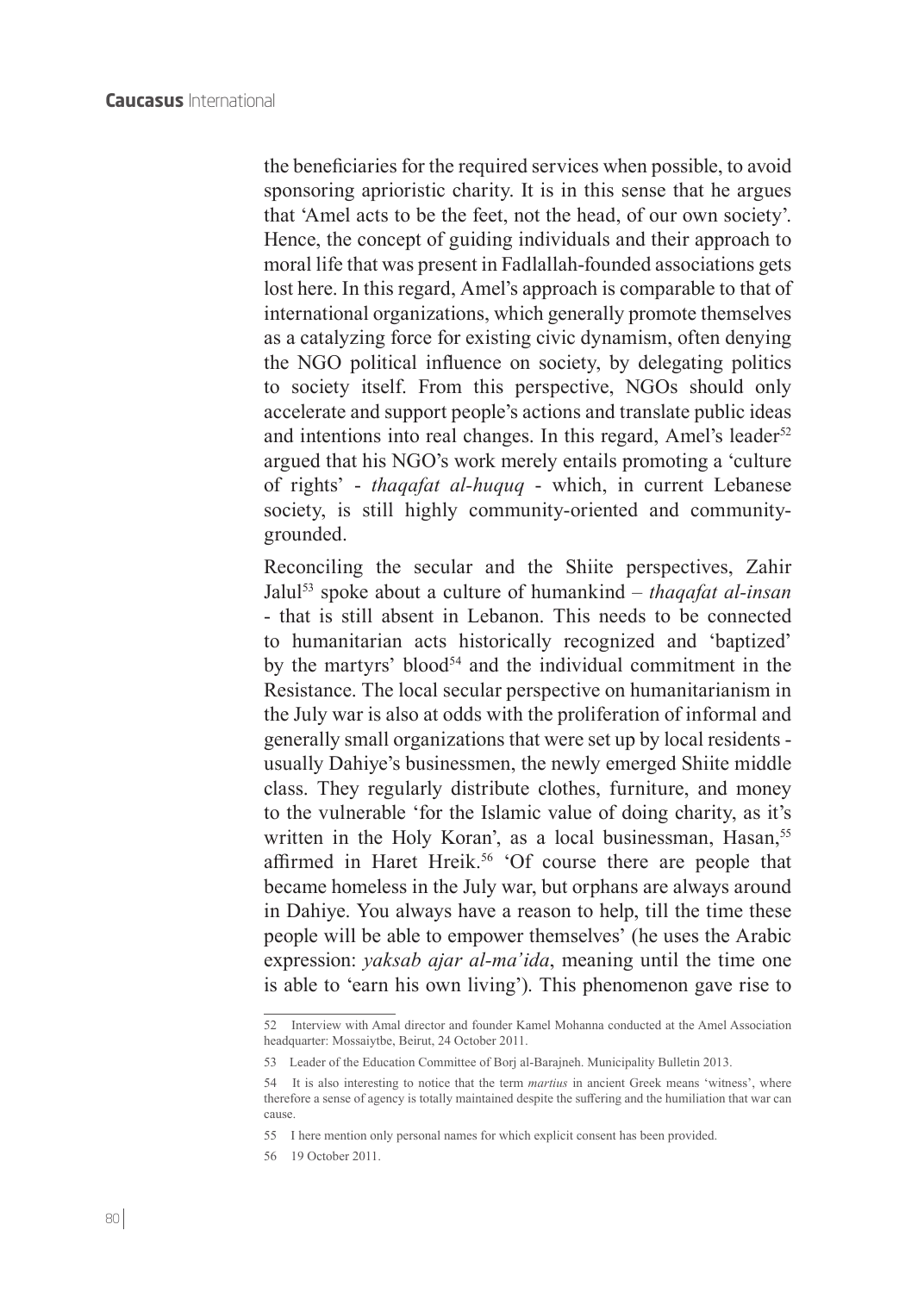the beneficiaries for the required services when possible, to avoid sponsoring aprioristic charity. It is in this sense that he argues that 'Amel acts to be the feet, not the head, of our own society'. Hence, the concept of guiding individuals and their approach to moral life that was present in Fadlallah-founded associations gets lost here. In this regard, Amel's approach is comparable to that of international organizations, which generally promote themselves as a catalyzing force for existing civic dynamism, often denying the NGO political influence on society, by delegating politics to society itself. From this perspective, NGOs should only accelerate and support people's actions and translate public ideas and intentions into real changes. In this regard, Amel's leader<sup>52</sup> argued that his NGO's work merely entails promoting a 'culture of rights' - *thaqafat al-huquq* - which, in current Lebanese society, is still highly community-oriented and communitygrounded.

Reconciling the secular and the Shiite perspectives, Zahir Jalul53 spoke about a culture of humankind – *thaqafat al-insan* - that is still absent in Lebanon. This needs to be connected to humanitarian acts historically recognized and 'baptized' by the martyrs' blood<sup>54</sup> and the individual commitment in the Resistance. The local secular perspective on humanitarianism in the July war is also at odds with the proliferation of informal and generally small organizations that were set up by local residents usually Dahiye's businessmen, the newly emerged Shiite middle class. They regularly distribute clothes, furniture, and money to the vulnerable 'for the Islamic value of doing charity, as it's written in the Holy Koran', as a local businessman, Hasan,<sup>55</sup> affirmed in Haret Hreik.<sup>56</sup> 'Of course there are people that became homeless in the July war, but orphans are always around in Dahiye. You always have a reason to help, till the time these people will be able to empower themselves' (he uses the Arabic expression: *yaksab ajar al-ma'ida*, meaning until the time one is able to 'earn his own living'). This phenomenon gave rise to

56 19 October 2011.

<sup>52</sup> Interview with Amal director and founder Kamel Mohanna conducted at the Amel Association headquarter: Mossaiytbe, Beirut, 24 October 2011.

<sup>53</sup> Leader of the Education Committee of Borj al-Barajneh. Municipality Bulletin 2013.

<sup>54</sup> It is also interesting to notice that the term *martius* in ancient Greek means 'witness', where therefore a sense of agency is totally maintained despite the suffering and the humiliation that war can cause.

<sup>55</sup> I here mention only personal names for which explicit consent has been provided.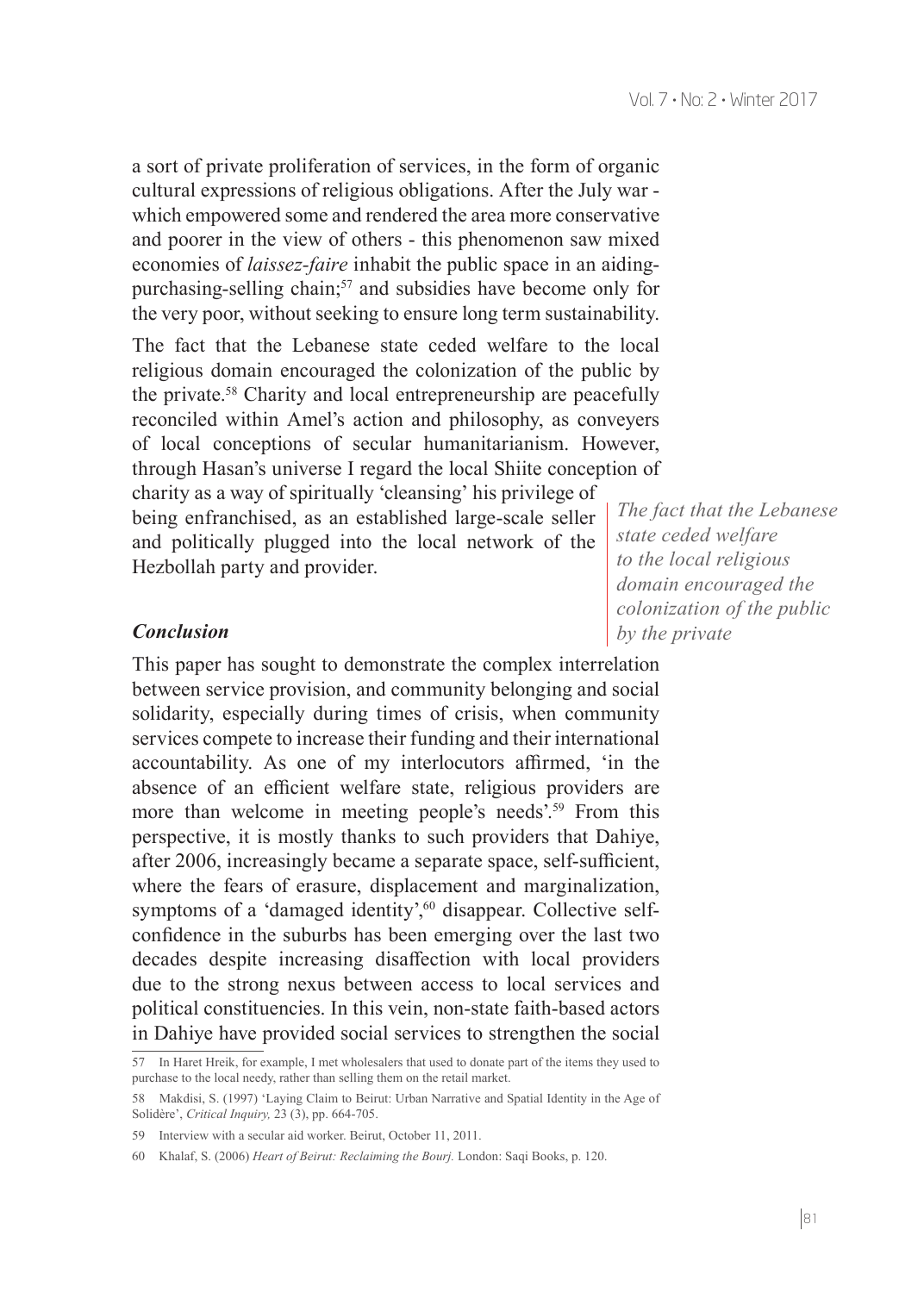a sort of private proliferation of services, in the form of organic cultural expressions of religious obligations. After the July war which empowered some and rendered the area more conservative and poorer in the view of others - this phenomenon saw mixed economies of *laissez-faire* inhabit the public space in an aidingpurchasing-selling chain;<sup>57</sup> and subsidies have become only for the very poor, without seeking to ensure long term sustainability.

The fact that the Lebanese state ceded welfare to the local religious domain encouraged the colonization of the public by the private.<sup>58</sup> Charity and local entrepreneurship are peacefully reconciled within Amel's action and philosophy, as conveyers of local conceptions of secular humanitarianism. However, through Hasan's universe I regard the local Shiite conception of charity as a way of spiritually 'cleansing' his privilege of

being enfranchised, as an established large-scale seller and politically plugged into the local network of the Hezbollah party and provider.

*The fact that the Lebanese state ceded welfare to the local religious domain encouraged the colonization of the public by the private*

#### *Conclusion*

This paper has sought to demonstrate the complex interrelation between service provision, and community belonging and social solidarity, especially during times of crisis, when community services compete to increase their funding and their international accountability. As one of my interlocutors affirmed, 'in the absence of an efficient welfare state, religious providers are more than welcome in meeting people's needs'.<sup>59</sup> From this perspective, it is mostly thanks to such providers that Dahiye, after 2006, increasingly became a separate space, self-sufficient, where the fears of erasure, displacement and marginalization, symptoms of a 'damaged identity',<sup>60</sup> disappear. Collective selfconfidence in the suburbs has been emerging over the last two decades despite increasing disaffection with local providers due to the strong nexus between access to local services and political constituencies. In this vein, non-state faith-based actors in Dahiye have provided social services to strengthen the social

<sup>57</sup> In Haret Hreik, for example, I met wholesalers that used to donate part of the items they used to purchase to the local needy, rather than selling them on the retail market.

<sup>58</sup> Makdisi, S. (1997) 'Laying Claim to Beirut: Urban Narrative and Spatial Identity in the Age of Solidère', *Critical Inquiry,* 23 (3), pp. 664-705.

<sup>59</sup> Interview with a secular aid worker. Beirut, October 11, 2011.

<sup>60</sup> Khalaf, S. (2006) *Heart of Beirut: Reclaiming the Bourj.* London: Saqi Books, p. 120.